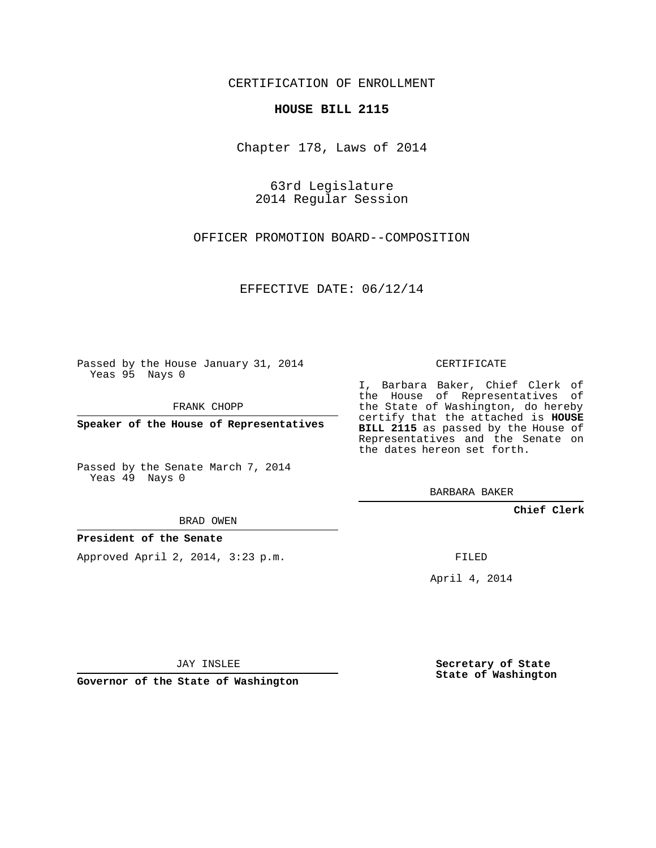### CERTIFICATION OF ENROLLMENT

#### **HOUSE BILL 2115**

Chapter 178, Laws of 2014

63rd Legislature 2014 Regular Session

OFFICER PROMOTION BOARD--COMPOSITION

EFFECTIVE DATE: 06/12/14

Passed by the House January 31, 2014 Yeas 95 Nays 0

FRANK CHOPP

**Speaker of the House of Representatives**

Passed by the Senate March 7, 2014 Yeas 49 Nays 0

BRAD OWEN

### **President of the Senate**

Approved April 2, 2014, 3:23 p.m.

CERTIFICATE

I, Barbara Baker, Chief Clerk of the House of Representatives of the State of Washington, do hereby certify that the attached is **HOUSE BILL 2115** as passed by the House of Representatives and the Senate on the dates hereon set forth.

BARBARA BAKER

**Chief Clerk**

FILED

April 4, 2014

JAY INSLEE

**Governor of the State of Washington**

**Secretary of State State of Washington**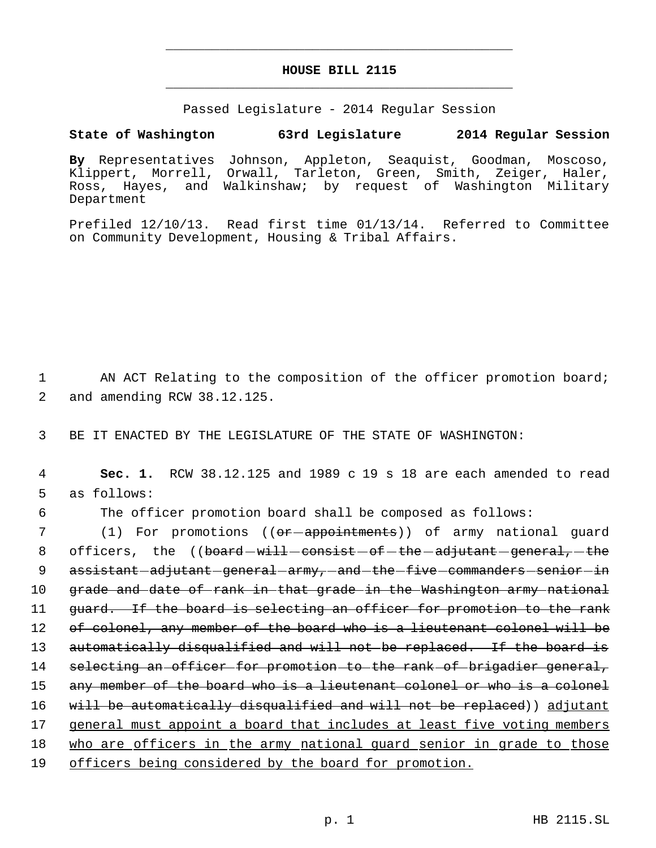# **HOUSE BILL 2115** \_\_\_\_\_\_\_\_\_\_\_\_\_\_\_\_\_\_\_\_\_\_\_\_\_\_\_\_\_\_\_\_\_\_\_\_\_\_\_\_\_\_\_\_\_

\_\_\_\_\_\_\_\_\_\_\_\_\_\_\_\_\_\_\_\_\_\_\_\_\_\_\_\_\_\_\_\_\_\_\_\_\_\_\_\_\_\_\_\_\_

Passed Legislature - 2014 Regular Session

# **State of Washington 63rd Legislature 2014 Regular Session**

**By** Representatives Johnson, Appleton, Seaquist, Goodman, Moscoso, Klippert, Morrell, Orwall, Tarleton, Green, Smith, Zeiger, Haler, Ross, Hayes, and Walkinshaw; by request of Washington Military Department

Prefiled 12/10/13. Read first time 01/13/14. Referred to Committee on Community Development, Housing & Tribal Affairs.

1 AN ACT Relating to the composition of the officer promotion board; 2 and amending RCW 38.12.125.

3 BE IT ENACTED BY THE LEGISLATURE OF THE STATE OF WASHINGTON:

 4 **Sec. 1.** RCW 38.12.125 and 1989 c 19 s 18 are each amended to read 5 as follows:

6 The officer promotion board shall be composed as follows:

7 (1) For promotions ((<del>or appointments</del>)) of army national guard 8 officers, the  $($  (board  $w$ ill consist of the adjutant general, the 9 assistant adjutant general army, and the five commanders senior in 10 grade and date of rank in that grade in the Washington army national 11 guard. If the board is selecting an officer for promotion to the rank 12 of colonel, any member of the board who is a lieutenant colonel will be 13 automatically disqualified and will not be replaced. If the board is 14 selecting an officer for promotion to the rank of brigadier general, 15 any member of the board who is a lieutenant colonel or who is a colonel 16 will be automatically disqualified and will not be replaced)) adjutant 17 general must appoint a board that includes at least five voting members 18 who are officers in the army national guard senior in grade to those 19 officers being considered by the board for promotion.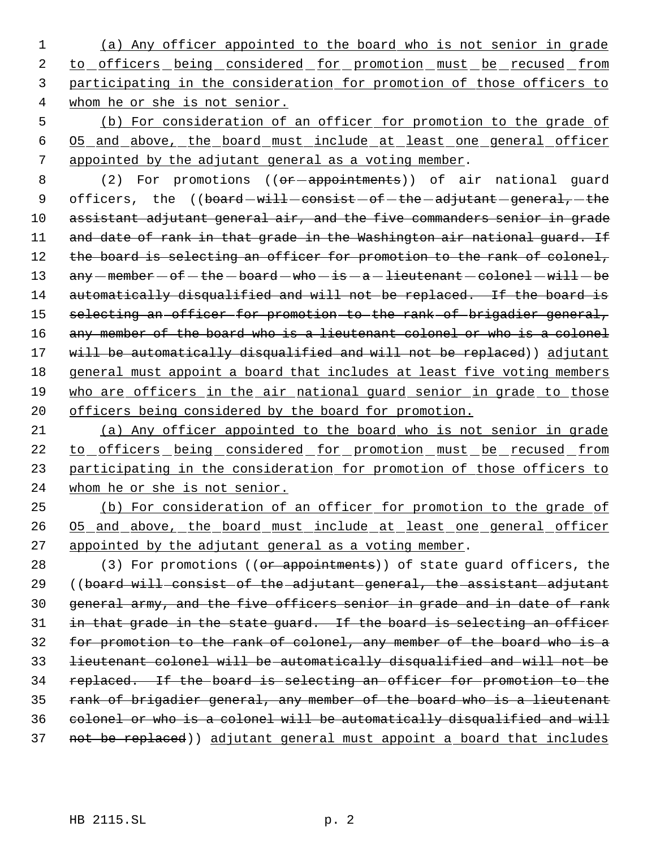(a) Any officer appointed to the board who is not senior in grade 2 to officers being considered for promotion must be recused from participating in the consideration for promotion of those officers to whom he or she is not senior.

 5 (b) For consideration of an officer for promotion to the grade of 6 O5 and above, the board must include at least one general officer 7 appointed by the adjutant general as a voting member.

8 (2) For promotions ((or-appointments)) of air national guard 9 officers, the ((board-will-consist-of-the-adjutant-general,-the 10 assistant adjutant general air, and the five commanders senior in grade 11 and date of rank in that grade in the Washington air national guard. If 12 the board is selecting an officer for promotion to the rank of colonel, 13  $any - member - of - the - board - who - is - a - lieutenant - colonel - will - be$ 14 automatically disqualified and will not be replaced. If the board is 15 selecting an officer for promotion to the rank of brigadier general, 16 any member of the board who is a lieutenant colonel or who is a colonel 17 will be automatically disqualified and will not be replaced)) adjutant 18 general must appoint a board that includes at least five voting members 19 who are officers in the air national guard senior in grade to those 20 officers being considered by the board for promotion.

21 (a) Any officer appointed to the board who is not senior in grade 22 to officers being considered for promotion must be recused from 23 participating in the consideration for promotion of those officers to 24 whom he or she is not senior.

25 (b) For consideration of an officer for promotion to the grade of 26 O5 and above, the board must include at least one general officer 27 appointed by the adjutant general as a voting member.

28 (3) For promotions ((or appointments)) of state guard officers, the 29 ((board will consist of the adjutant general, the assistant adjutant 30 general army, and the five officers senior in grade and in date of rank 31 in that grade in the state guard. If the board is selecting an officer 32 for promotion to the rank of colonel, any member of the board who is a 33 lieutenant colonel will be automatically disqualified and will not be 34 replaced. If the board is selecting an officer for promotion to the 35 rank of brigadier general, any member of the board who is a lieutenant 36 colonel or who is a colonel will be automatically disqualified and will 37 not be replaced)) adjutant general must appoint a board that includes